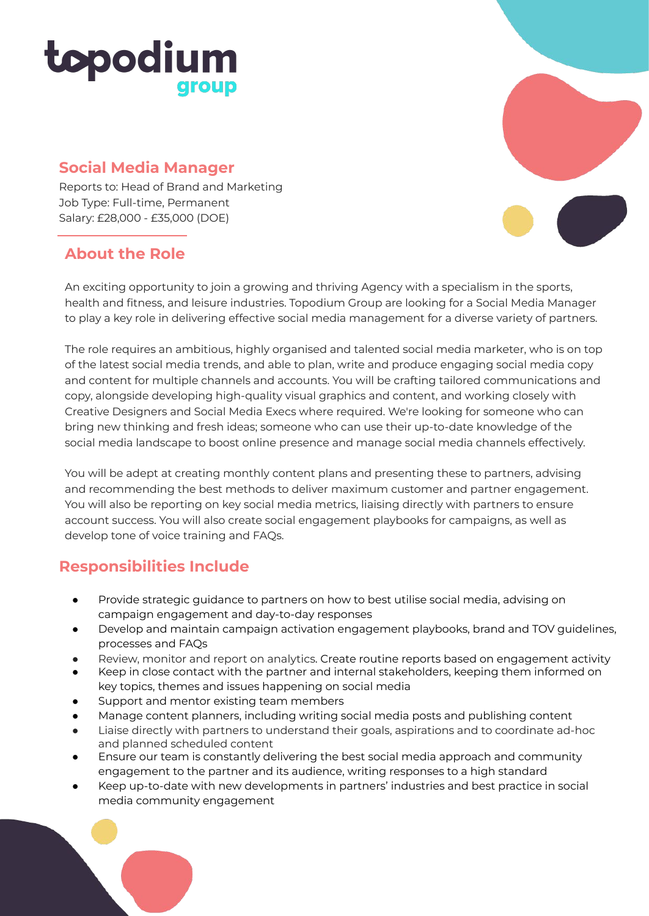# topodium group

### **Social Media Manager**

Reports to: Head of Brand and Marketing Job Type: Full-time, Permanent Salary: £28,000 - £35,000 (DOE)

## **About the Role**



An exciting opportunity to join a growing and thriving Agency with a specialism in the sports, health and fitness, and leisure industries. Topodium Group are looking for a Social Media Manager to play a key role in delivering effective social media management for a diverse variety of partners.

The role requires an ambitious, highly organised and talented social media marketer, who is on top of the latest social media trends, and able to plan, write and produce engaging social media copy and content for multiple channels and accounts. You will be crafting tailored communications and copy, alongside developing high-quality visual graphics and content, and working closely with Creative Designers and Social Media Execs where required. We're looking for someone who can bring new thinking and fresh ideas; someone who can use their up-to-date knowledge of the social media landscape to boost online presence and manage social media channels effectively.

You will be adept at creating monthly content plans and presenting these to partners, advising and recommending the best methods to deliver maximum customer and partner engagement. You will also be reporting on key social media metrics, liaising directly with partners to ensure account success. You will also create social engagement playbooks for campaigns, as well as develop tone of voice training and FAQs.

## **Responsibilities Include**

- Provide strategic guidance to partners on how to best utilise social media, advising on campaign engagement and day-to-day responses
- Develop and maintain campaign activation engagement playbooks, brand and TOV guidelines, processes and FAQs
- Review, monitor and report on analytics. Create routine reports based on engagement activity
- Keep in close contact with the partner and internal stakeholders, keeping them informed on key topics, themes and issues happening on social media
- Support and mentor existing team members
- Manage content planners, including writing social media posts and publishing content
- Liaise directly with partners to understand their goals, aspirations and to coordinate ad-hoc and planned scheduled content
- Ensure our team is constantly delivering the best social media approach and community engagement to the partner and its audience, writing responses to a high standard
- Keep up-to-date with new developments in partners' industries and best practice in social media community engagement